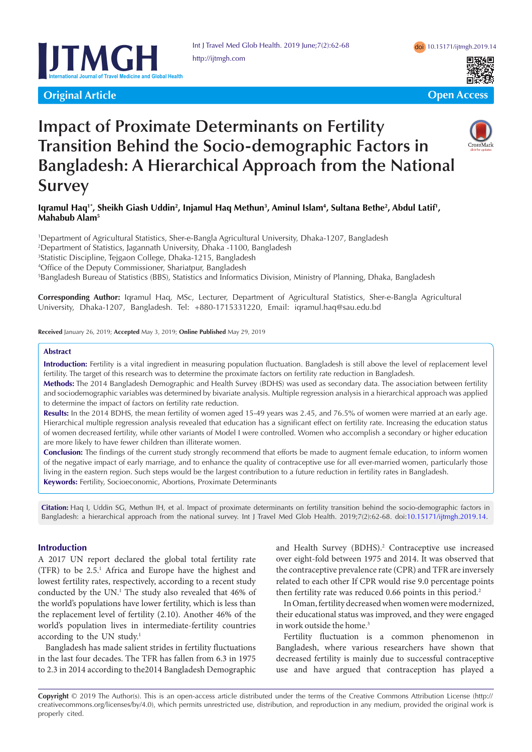

**Original Article Community Community Community Community Community Community Community Community Community Community** 





# **Impact of Proximate Determinants on Fertility Transition Behind the Socio-demographic Factors in Bangladesh: A Hierarchical Approach from the National Survey**

# Iqramul Haq'\*, Sheikh Giash Uddin<sup>2</sup>, Injamul Haq Methun<sup>3</sup>, Aminul Islam<sup>4</sup>, Sultana Bethe<sup>2</sup>, Abdul Latif', **Mahabub Alam5**

 Department of Agricultural Statistics, Sher-e-Bangla Agricultural University, Dhaka-1207, Bangladesh Department of Statistics, Jagannath University, Dhaka -1100, Bangladesh Statistic Discipline, Tejgaon College, Dhaka-1215, Bangladesh Office of the Deputy Commissioner, Shariatpur, Bangladesh Bangladesh Bureau of Statistics (BBS), Statistics and Informatics Division, Ministry of Planning, Dhaka, Bangladesh

**Corresponding Author:** Iqramul Haq, MSc, Lecturer, Department of Agricultural Statistics, Sher-e-Bangla Agricultural University, Dhaka-1207, Bangladesh. Tel: +880-1715331220, Email: iqramul.haq@sau.edu.bd

**Received** January 26, 2019; **Accepted** May 3, 2019; **Online Published** May 29, 2019

#### **Abstract**

**Introduction:** Fertility is a vital ingredient in measuring population fluctuation. Bangladesh is still above the level of replacement level fertility. The target of this research was to determine the proximate factors on fertility rate reduction in Bangladesh.

**Methods:** The 2014 Bangladesh Demographic and Health Survey (BDHS) was used as secondary data. The association between fertility and sociodemographic variables was determined by bivariate analysis. Multiple regression analysis in a hierarchical approach was applied to determine the impact of factors on fertility rate reduction.

**Results:** In the 2014 BDHS, the mean fertility of women aged 15-49 years was 2.45, and 76.5% of women were married at an early age. Hierarchical multiple regression analysis revealed that education has a significant effect on fertility rate. Increasing the education status of women decreased fertility, while other variants of Model I were controlled. Women who accomplish a secondary or higher education are more likely to have fewer children than illiterate women.

**Conclusion:** The findings of the current study strongly recommend that efforts be made to augment female education, to inform women of the negative impact of early marriage, and to enhance the quality of contraceptive use for all ever-married women, particularly those living in the eastern region. Such steps would be the largest contribution to a future reduction in fertility rates in Bangladesh. **Keywords:** Fertility, Socioeconomic, Abortions, Proximate Determinants

**Citation:** Haq I, Uddin SG, Methun IH, et al. Impact of proximate determinants on fertility transition behind the socio-demographic factors in Bangladesh: a hierarchical approach from the national survey. Int J Travel Med Glob Health. 2019;7(2):62-68. doi:[10.15171/ijtmgh.2019.14](https://doi.org/10.15171/ijtmgh.2019.14).

# **Introduction**

A 2017 UN report declared the global total fertility rate (TFR) to be 2.5.1 Africa and Europe have the highest and lowest fertility rates, respectively, according to a recent study conducted by the UN.<sup>1</sup> The study also revealed that 46% of the world's populations have lower fertility, which is less than the replacement level of fertility (2.10). Another 46% of the world's population lives in intermediate-fertility countries according to the UN study.<sup>1</sup>

Bangladesh has made salient strides in fertility fluctuations in the last four decades. The TFR has fallen from 6.3 in 1975 to 2.3 in 2014 according to the2014 Bangladesh Demographic and Health Survey (BDHS).<sup>2</sup> Contraceptive use increased over eight-fold between 1975 and 2014. It was observed that the contraceptive prevalence rate (CPR) and TFR are inversely related to each other If CPR would rise 9.0 percentage points then fertility rate was reduced 0.66 points in this period.<sup>2</sup>

In Oman, fertility decreased when women were modernized, their educational status was improved, and they were engaged in work outside the home.<sup>3</sup>

Fertility fluctuation is a common phenomenon in Bangladesh, where various researchers have shown that decreased fertility is mainly due to successful contraceptive use and have argued that contraception has played a

**Copyright** © 2019 The Author(s). This is an open-access article distributed under the terms of the Creative Commons Attribution License (http:// creativecommons.org/licenses/by/4.0), which permits unrestricted use, distribution, and reproduction in any medium, provided the original work is properly cited.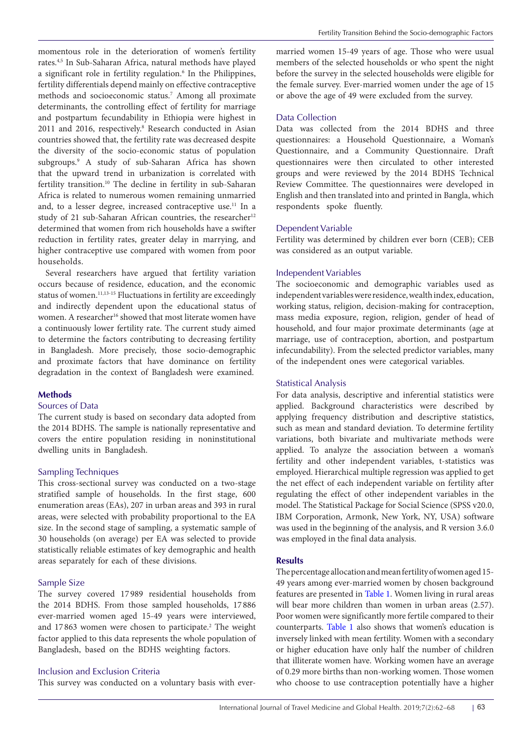momentous role in the deterioration of women's fertility rates.4,5 In Sub-Saharan Africa, natural methods have played a significant role in fertility regulation.<sup>6</sup> In the Philippines, fertility differentials depend mainly on effective contraceptive methods and socioeconomic status.7 Among all proximate determinants, the controlling effect of fertility for marriage and postpartum fecundability in Ethiopia were highest in 2011 and 2016, respectively.<sup>8</sup> Research conducted in Asian countries showed that, the fertility rate was decreased despite the diversity of the socio-economic status of population subgroups.9 A study of sub-Saharan Africa has shown that the upward trend in urbanization is correlated with fertility transition.10 The decline in fertility in sub-Saharan Africa is related to numerous women remaining unmarried and, to a lesser degree, increased contraceptive use.<sup>11</sup> In a study of 21 sub-Saharan African countries, the researcher<sup>12</sup> determined that women from rich households have a swifter reduction in fertility rates, greater delay in marrying, and higher contraceptive use compared with women from poor households.

Several researchers have argued that fertility variation occurs because of residence, education, and the economic status of women.<sup>11,13-15</sup> Fluctuations in fertility are exceedingly and indirectly dependent upon the educational status of women. A researcher<sup>16</sup> showed that most literate women have a continuously lower fertility rate. The current study aimed to determine the factors contributing to decreasing fertility in Bangladesh. More precisely, those socio-demographic and proximate factors that have dominance on fertility degradation in the context of Bangladesh were examined.

#### **Methods**

# Sources of Data

The current study is based on secondary data adopted from the 2014 BDHS. The sample is nationally representative and covers the entire population residing in noninstitutional dwelling units in Bangladesh.

#### Sampling Techniques

This cross-sectional survey was conducted on a two-stage stratified sample of households. In the first stage, 600 enumeration areas (EAs), 207 in urban areas and 393 in rural areas, were selected with probability proportional to the EA size. In the second stage of sampling, a systematic sample of 30 households (on average) per EA was selected to provide statistically reliable estimates of key demographic and health areas separately for each of these divisions.

## Sample Size

The survey covered 17 989 residential households from the 2014 BDHS. From those sampled households, 17 886 ever-married women aged 15-49 years were interviewed, and 17863 women were chosen to participate.<sup>2</sup> The weight factor applied to this data represents the whole population of Bangladesh, based on the BDHS weighting factors.

# Inclusion and Exclusion Criteria

This survey was conducted on a voluntary basis with ever-

married women 15-49 years of age. Those who were usual members of the selected households or who spent the night before the survey in the selected households were eligible for the female survey. Ever-married women under the age of 15 or above the age of 49 were excluded from the survey.

## Data Collection

Data was collected from the 2014 BDHS and three questionnaires: a Household Questionnaire, a Woman's Questionnaire, and a Community Questionnaire. Draft questionnaires were then circulated to other interested groups and were reviewed by the 2014 BDHS Technical Review Committee. The questionnaires were developed in English and then translated into and printed in Bangla, which respondents spoke fluently.

## Dependent Variable

Fertility was determined by children ever born (CEB); CEB was considered as an output variable.

## Independent Variables

The socioeconomic and demographic variables used as independent variables were residence, wealth index, education, working status, religion, decision-making for contraception, mass media exposure, region, religion, gender of head of household, and four major proximate determinants (age at marriage, use of contraception, abortion, and postpartum infecundability). From the selected predictor variables, many of the independent ones were categorical variables.

#### Statistical Analysis

For data analysis, descriptive and inferential statistics were applied. Background characteristics were described by applying frequency distribution and descriptive statistics, such as mean and standard deviation. To determine fertility variations, both bivariate and multivariate methods were applied. To analyze the association between a woman's fertility and other independent variables, t-statistics was employed. Hierarchical multiple regression was applied to get the net effect of each independent variable on fertility after regulating the effect of other independent variables in the model. The Statistical Package for Social Science (SPSS v20.0, IBM Corporation, Armonk, New York, NY, USA) software was used in the beginning of the analysis, and R version 3.6.0 was employed in the final data analysis.

#### **Results**

The percentage allocation and mean fertility of women aged 15- 49 years among ever-married women by chosen background features are presented in [Table 1.](#page-2-0) Women living in rural areas will bear more children than women in urban areas (2.57). Poor women were significantly more fertile compared to their counterparts. [Table 1](#page-2-0) also shows that women's education is inversely linked with mean fertility. Women with a secondary or higher education have only half the number of children that illiterate women have. Working women have an average of 0.29 more births than non-working women. Those women who choose to use contraception potentially have a higher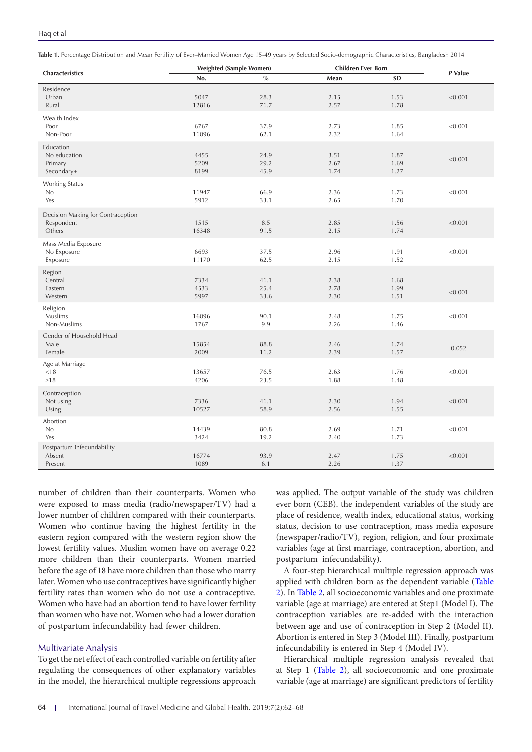<span id="page-2-0"></span>

| Table 1. Percentage Distribution and Mean Fertility of Ever-Married Women Age 15-49 years by Selected Socio-demographic Characteristics, Bangladesh 2014 |  |  |  |  |
|----------------------------------------------------------------------------------------------------------------------------------------------------------|--|--|--|--|
|----------------------------------------------------------------------------------------------------------------------------------------------------------|--|--|--|--|

|                                                           | <b>Weighted (Sample Women)</b> |                        | <b>Children Ever Born</b> |                      |         |
|-----------------------------------------------------------|--------------------------------|------------------------|---------------------------|----------------------|---------|
| Characteristics                                           | No.                            | $\sqrt[0]{\mathbf{0}}$ | Mean                      | <b>SD</b>            | P Value |
| Residence<br>Urban<br>Rural                               | 5047<br>12816                  | 28.3<br>71.7           | 2.15<br>2.57              | 1.53<br>1.78         | < 0.001 |
| Wealth Index<br>Poor<br>Non-Poor                          | 6767<br>11096                  | 37.9<br>62.1           | 2.73<br>2.32              | 1.85<br>1.64         | < 0.001 |
| Education<br>No education<br>Primary<br>Secondary+        | 4455<br>5209<br>8199           | 24.9<br>29.2<br>45.9   | 3.51<br>2.67<br>1.74      | 1.87<br>1.69<br>1.27 | < 0.001 |
| Working Status<br>No<br>Yes                               | 11947<br>5912                  | 66.9<br>33.1           | 2.36<br>2.65              | 1.73<br>1.70         | < 0.001 |
| Decision Making for Contraception<br>Respondent<br>Others | 1515<br>16348                  | 8.5<br>91.5            | 2.85<br>2.15              | 1.56<br>1.74         | < 0.001 |
| Mass Media Exposure<br>No Exposure<br>Exposure            | 6693<br>11170                  | 37.5<br>62.5           | 2.96<br>2.15              | 1.91<br>1.52         | < 0.001 |
| Region<br>Central<br>Eastern<br>Western                   | 7334<br>4533<br>5997           | 41.1<br>25.4<br>33.6   | 2.38<br>2.78<br>2.30      | 1.68<br>1.99<br>1.51 | < 0.001 |
| Religion<br>Muslims<br>Non-Muslims                        | 16096<br>1767                  | 90.1<br>9.9            | 2.48<br>2.26              | 1.75<br>1.46         | < 0.001 |
| Gender of Household Head<br>Male<br>Female                | 15854<br>2009                  | 88.8<br>11.2           | 2.46<br>2.39              | 1.74<br>1.57         | 0.052   |
| Age at Marriage<br>< 18<br>$\geq 18$                      | 13657<br>4206                  | 76.5<br>23.5           | 2.63<br>1.88              | 1.76<br>1.48         | < 0.001 |
| Contraception<br>Not using<br>Using                       | 7336<br>10527                  | 41.1<br>58.9           | 2.30<br>2.56              | 1.94<br>1.55         | < 0.001 |
| Abortion<br>No<br>Yes                                     | 14439<br>3424                  | 80.8<br>19.2           | 2.69<br>2.40              | 1.71<br>1.73         | < 0.001 |
| Postpartum Infecundability<br>Absent<br>Present           | 16774<br>1089                  | 93.9<br>6.1            | 2.47<br>2.26              | 1.75<br>1.37         | < 0.001 |

number of children than their counterparts. Women who were exposed to mass media (radio/newspaper/TV) had a lower number of children compared with their counterparts. Women who continue having the highest fertility in the eastern region compared with the western region show the lowest fertility values. Muslim women have on average 0.22 more children than their counterparts. Women married before the age of 18 have more children than those who marry later. Women who use contraceptives have significantly higher fertility rates than women who do not use a contraceptive. Women who have had an abortion tend to have lower fertility than women who have not. Women who had a lower duration of postpartum infecundability had fewer children.

#### Multivariate Analysis

To get the net effect of each controlled variable on fertility after regulating the consequences of other explanatory variables in the model, the hierarchical multiple regressions approach

was applied. The output variable of the study was children ever born (CEB). the independent variables of the study are place of residence, wealth index, educational status, working status, decision to use contraception, mass media exposure (newspaper/radio/TV), region, religion, and four proximate variables (age at first marriage, contraception, abortion, and postpartum infecundability).

A four-step hierarchical multiple regression approach was applied with children born as the dependent variable [\(Table](#page-3-0)  [2\)](#page-3-0). In [Table 2](#page-3-0), all socioeconomic variables and one proximate variable (age at marriage) are entered at Step1 (Model І). The contraception variables are re-added with the interaction between age and use of contraception in Step 2 (Model ІІ). Abortion is entered in Step 3 (Model ІІІ). Finally, postpartum infecundability is entered in Step 4 (Model ІV).

Hierarchical multiple regression analysis revealed that at Step 1 ([Table 2](#page-3-0)), all socioeconomic and one proximate variable (age at marriage) are significant predictors of fertility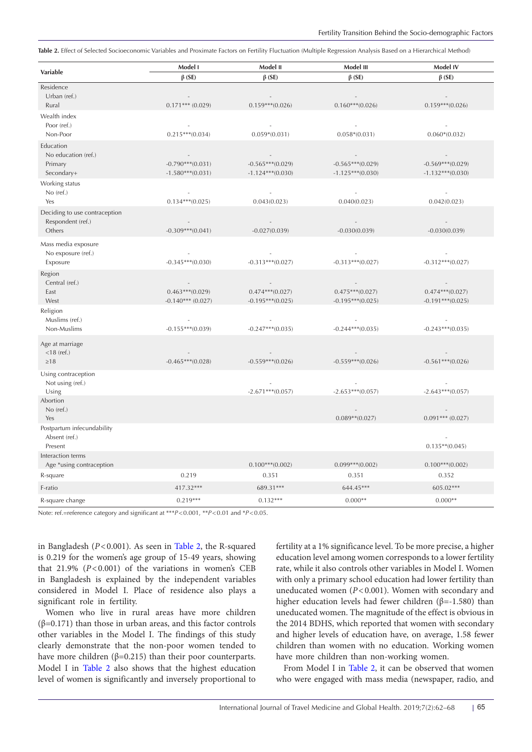<span id="page-3-0"></span>Table 2. Effect of Selected Socioeconomic Variables and Proximate Factors on Fertility Fluctuation (Multiple Regression Analysis Based on a Hierarchical Method)

|                                                              | Model I                                  | Model II                                      | Model III                                | Model IV                                 |  |
|--------------------------------------------------------------|------------------------------------------|-----------------------------------------------|------------------------------------------|------------------------------------------|--|
| Variable                                                     | $\beta$ (SE)                             | $\beta$ (SE)                                  | $\beta$ (SE)                             | $\beta$ (SE)                             |  |
| Residence<br>Urban (ref.)<br>Rural                           | $\sim$<br>$0.171***$ (0.029)             | $\overline{\phantom{a}}$<br>$0.159***(0.026)$ | $\sim$<br>$0.160***(0.026)$              | $\sim$<br>$0.159***(0.026)$              |  |
| Wealth index<br>Poor (ref.)<br>Non-Poor                      | $\sim$<br>$0.215***(0.034)$              | $0.059*(0.031)$                               | $0.058*(0.031)$                          | $\sim$<br>$0.060*(0.032)$                |  |
| Education<br>No education (ref.)<br>Primary<br>Secondary+    | $-0.790***(0.031)$<br>$-1.580***(0.031)$ | $-0.565***(0.029)$<br>$-1.124***$ (0.030)     | $-0.565***(0.029)$<br>$-1.125***(0.030)$ | $-0.569***(0.029)$<br>$-1.132***(0.030)$ |  |
| Working status<br>$No$ (ref.)<br>Yes                         | $\sim$<br>$0.134***(0.025)$              | $\overline{\phantom{a}}$<br>0.043(0.023)      | $\sim$<br>0.040(0.023)                   | $\sim$<br>0.042(0.023)                   |  |
| Deciding to use contraception<br>Respondent (ref.)<br>Others | $-0.309***(0.041)$                       | $-0.027(0.039)$                               | $-0.030(0.039)$                          | $\sim$ 100 $\mu$<br>$-0.030(0.039)$      |  |
| Mass media exposure<br>No exposure (ref.)<br>Exposure        | $\sim$<br>$-0.345***(0.030)$             | $\sim$<br>$-0.313***(0.027)$                  | $\sim$<br>$-0.313***(0.027)$             | $\sim$<br>$-0.312***(0.027)$             |  |
| Region<br>Central (ref.)<br>East<br>West                     | $0.463***(0.029)$<br>$-0.140***$ (0.027) | $0.474***(0.027)$<br>$-0.195***(0.025)$       | $0.475***(0.027)$<br>$-0.195***(0.025)$  | $0.474***(0.027)$<br>$-0.191***$ (0.025) |  |
| Religion<br>Muslims (ref.)<br>Non-Muslims                    | $\sim$<br>$-0.155***(0.039)$             | $\sim$ $-$<br>$-0.247***(0.035)$              | $\sim$<br>$-0.244***(0.035)$             | $\sim$<br>$-0.243***(0.035)$             |  |
| Age at marriage<br>$<$ 18 (ref.)<br>$\geq 18$                | $\sim$<br>$-0.465***(0.028)$             | $\sim$<br>$-0.559***(0.026)$                  | $\sim$ $-$<br>$-0.559***(0.026)$         | $\sim$ $-$<br>$-0.561***(0.026)$         |  |
| Using contraception<br>Not using (ref.)<br>Using<br>Abortion |                                          | $-2.671***$ (0.057)                           | $-2.653***(0.057)$                       | $\sim$<br>$-2.643***(0.057)$             |  |
| $No$ (ref.)<br>Yes                                           |                                          |                                               | $0.089**$ (0.027)                        | $\sim$<br>$0.091***$ $(0.027)$           |  |
| Postpartum infecundability<br>Absent (ref.)<br>Present       |                                          |                                               |                                          | $0.135**$ (0.045)                        |  |
| Interaction terms<br>Age *using contraception                |                                          | $0.100***(0.002)$                             | $0.099***(0.002)$                        | $0.100***(0.002)$                        |  |
| R-square                                                     | 0.219                                    | 0.351                                         | 0.351                                    | 0.352                                    |  |
| F-ratio                                                      | 417.32***                                | 689.31***                                     | 644.45***                                | 605.02***                                |  |
| R-square change                                              | $0.219***$                               | $0.132***$                                    | $0.000**$                                | $0.000**$                                |  |

Note: ref.=reference category and significant at \*\*\**P*<0.001, \*\**P*<0.01 and \**P*<0.05.

in Bangladesh (*P*<0.001). As seen in [Table 2](#page-3-0), the R-squared is 0.219 for the women's age group of 15-49 years, showing that 21.9% ( $P < 0.001$ ) of the variations in women's CEB in Bangladesh is explained by the independent variables considered in Model І. Place of residence also plays a significant role in fertility.

Women who live in rural areas have more children (β=0.171) than those in urban areas, and this factor controls other variables in the Model І. The findings of this study clearly demonstrate that the non-poor women tended to have more children (β=0.215) than their poor counterparts. Model І in [Table 2](#page-3-0) also shows that the highest education level of women is significantly and inversely proportional to

fertility at a 1% significance level. To be more precise, a higher education level among women corresponds to a lower fertility rate, while it also controls other variables in Model І. Women with only a primary school education had lower fertility than uneducated women (*P*<0.001). Women with secondary and higher education levels had fewer children ( $\beta$ =-1.580) than uneducated women. The magnitude of the effect is obvious in the 2014 BDHS, which reported that women with secondary and higher levels of education have, on average, 1.58 fewer children than women with no education. Working women have more children than non-working women.

From Model I in [Table 2,](#page-3-0) it can be observed that women who were engaged with mass media (newspaper, radio, and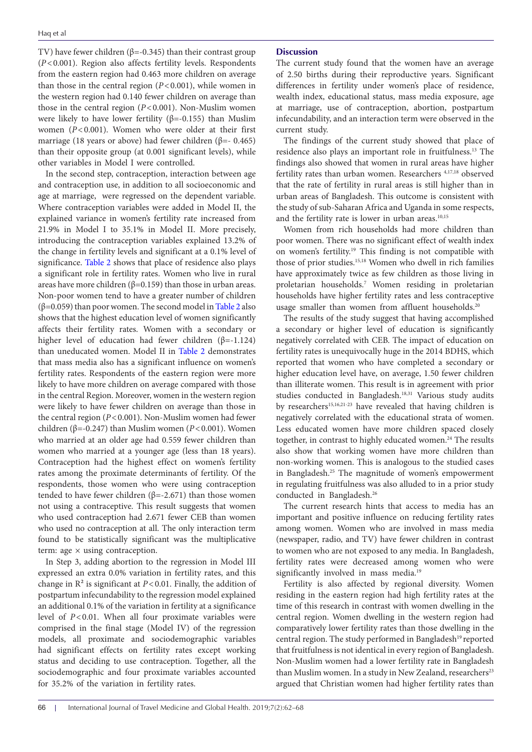TV) have fewer children ( $\beta$ =-0.345) than their contrast group (*P*<0.001). Region also affects fertility levels. Respondents from the eastern region had 0.463 more children on average than those in the central region  $(P<0.001)$ , while women in the western region had 0.140 fewer children on average than those in the central region (*P*<0.001). Non-Muslim women were likely to have lower fertility ( $\beta$ =-0.155) than Muslim women (*P*<0.001). Women who were older at their first marriage (18 years or above) had fewer children (β=- 0.465) than their opposite group (at 0.001 significant levels), while other variables in Model І were controlled.

In the second step, contraception, interaction between age and contraception use, in addition to all socioeconomic and age at marriage, were regressed on the dependent variable. Where contraception variables were added in Model ІІ, the explained variance in women's fertility rate increased from 21.9% in Model І to 35.1% in Model ІІ. More precisely, introducing the contraception variables explained 13.2% of the change in fertility levels and significant at a 0.1% level of significance. [Table 2](#page-3-0) shows that place of residence also plays a significant role in fertility rates. Women who live in rural areas have more children ( $β=0.159$ ) than those in urban areas. Non-poor women tend to have a greater number of children (β=0.059) than poor women. The second model in [Table 2](#page-3-0) also shows that the highest education level of women significantly affects their fertility rates. Women with a secondary or higher level of education had fewer children  $(\beta = -1.124)$ than uneducated women. Model ІІ in [Table 2](#page-3-0) demonstrates that mass media also has a significant influence on women's fertility rates. Respondents of the eastern region were more likely to have more children on average compared with those in the central Region. Moreover, women in the western region were likely to have fewer children on average than those in the central region (*P*<0.001). Non-Muslim women had fewer children ( $β = -0.247$ ) than Muslim women ( $P < 0.001$ ). Women who married at an older age had 0.559 fewer children than women who married at a younger age (less than 18 years). Contraception had the highest effect on women's fertility rates among the proximate determinants of fertility. Of the respondents, those women who were using contraception tended to have fewer children ( $β = -2.671$ ) than those women not using a contraceptive. This result suggests that women who used contraception had 2.671 fewer CEB than women who used no contraception at all. The only interaction term found to be statistically significant was the multiplicative term: age  $\times$  using contraception.

In Step 3, adding abortion to the regression in Model ІІІ expressed an extra 0.0% variation in fertility rates, and this change in  $\mathbb{R}^2$  is significant at  $P < 0.01$ . Finally, the addition of postpartum infecundability to the regression model explained an additional 0.1% of the variation in fertility at a significance level of *P*<0.01. When all four proximate variables were comprised in the final stage (Model ІV) of the regression models, all proximate and sociodemographic variables had significant effects on fertility rates except working status and deciding to use contraception. Together, all the sociodemographic and four proximate variables accounted for 35.2% of the variation in fertility rates.

## **Discussion**

The current study found that the women have an average of 2.50 births during their reproductive years. Significant differences in fertility under women's place of residence, wealth index, educational status, mass media exposure, age at marriage, use of contraception, abortion, postpartum infecundability, and an interaction term were observed in the current study.

The findings of the current study showed that place of residence also plays an important role in fruitfulness.13 The findings also showed that women in rural areas have higher fertility rates than urban women. Researchers 4,17,18 observed that the rate of fertility in rural areas is still higher than in urban areas of Bangladesh. This outcome is consistent with the study of sub-Saharan Africa and Uganda in some respects, and the fertility rate is lower in urban areas.<sup>10,15</sup>

Women from rich households had more children than poor women. There was no significant effect of wealth index on women's fertility.19 This finding is not compatible with those of prior studies.15,18 Women who dwell in rich families have approximately twice as few children as those living in proletarian households.7 Women residing in proletarian households have higher fertility rates and less contraceptive usage smaller than women from affluent households.<sup>20</sup>

The results of the study suggest that having accomplished a secondary or higher level of education is significantly negatively correlated with CEB. The impact of education on fertility rates is unequivocally huge in the 2014 BDHS, which reported that women who have completed a secondary or higher education level have, on average, 1.50 fewer children than illiterate women. This result is in agreement with prior studies conducted in Bangladesh.<sup>18,31</sup> Various study audits by researchers<sup>15,16,21-23</sup> have revealed that having children is negatively correlated with the educational strata of women. Less educated women have more children spaced closely together, in contrast to highly educated women.<sup>24</sup> The results also show that working women have more children than non-working women. This is analogous to the studied cases in Bangladesh.25 The magnitude of women's empowerment in regulating fruitfulness was also alluded to in a prior study conducted in Bangladesh.26

The current research hints that access to media has an important and positive influence on reducing fertility rates among women. Women who are involved in mass media (newspaper, radio, and TV) have fewer children in contrast to women who are not exposed to any media. In Bangladesh, fertility rates were decreased among women who were significantly involved in mass media.<sup>19</sup>

Fertility is also affected by regional diversity. Women residing in the eastern region had high fertility rates at the time of this research in contrast with women dwelling in the central region. Women dwelling in the western region had comparatively lower fertility rates than those dwelling in the central region. The study performed in Bangladesh<sup>19</sup> reported that fruitfulness is not identical in every region of Bangladesh. Non-Muslim women had a lower fertility rate in Bangladesh than Muslim women. In a study in New Zealand, researchers<sup>23</sup> argued that Christian women had higher fertility rates than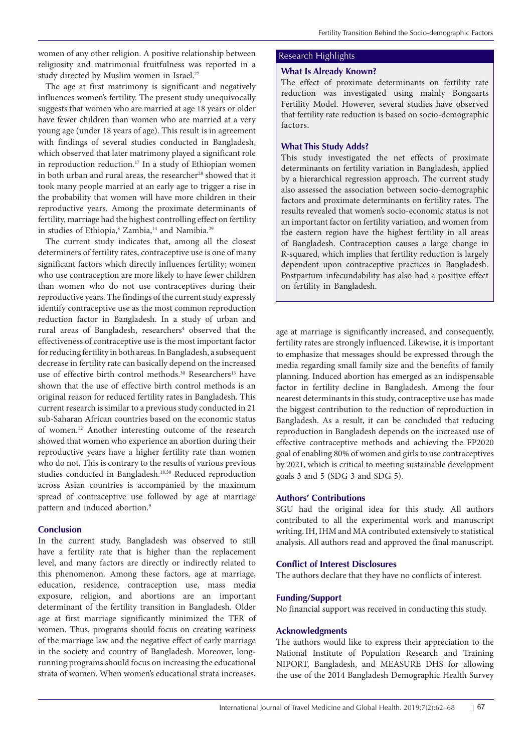women of any other religion. A positive relationship between religiosity and matrimonial fruitfulness was reported in a study directed by Muslim women in Israel.<sup>27</sup>

The age at first matrimony is significant and negatively influences women's fertility. The present study unequivocally suggests that women who are married at age 18 years or older have fewer children than women who are married at a very young age (under 18 years of age). This result is in agreement with findings of several studies conducted in Bangladesh, which observed that later matrimony played a significant role in reproduction reduction.<sup>17</sup> In a study of Ethiopian women in both urban and rural areas, the researcher<sup>28</sup> showed that it took many people married at an early age to trigger a rise in the probability that women will have more children in their reproductive years. Among the proximate determinants of fertility, marriage had the highest controlling effect on fertility in studies of Ethiopia,<sup>8</sup> Zambia,<sup>14</sup> and Namibia.<sup>29</sup>

The current study indicates that, among all the closest determiners of fertility rates, contraceptive use is one of many significant factors which directly influences fertility; women who use contraception are more likely to have fewer children than women who do not use contraceptives during their reproductive years. The findings of the current study expressly identify contraceptive use as the most common reproduction reduction factor in Bangladesh. In a study of urban and rural areas of Bangladesh, researchers<sup>4</sup> observed that the effectiveness of contraceptive use is the most important factor for reducing fertility in both areas. In Bangladesh, a subsequent decrease in fertility rate can basically depend on the increased use of effective birth control methods.<sup>30</sup> Researchers<sup>13</sup> have shown that the use of effective birth control methods is an original reason for reduced fertility rates in Bangladesh. This current research is similar to a previous study conducted in 21 sub-Saharan African countries based on the economic status of women.12 Another interesting outcome of the research showed that women who experience an abortion during their reproductive years have a higher fertility rate than women who do not. This is contrary to the results of various previous studies conducted in Bangladesh.<sup>18,30</sup> Reduced reproduction across Asian countries is accompanied by the maximum spread of contraceptive use followed by age at marriage pattern and induced abortion.<sup>9</sup>

# **Conclusion**

In the current study, Bangladesh was observed to still have a fertility rate that is higher than the replacement level, and many factors are directly or indirectly related to this phenomenon. Among these factors, age at marriage, education, residence, contraception use, mass media exposure, religion, and abortions are an important determinant of the fertility transition in Bangladesh. Older age at first marriage significantly minimized the TFR of women. Thus, programs should focus on creating wariness of the marriage law and the negative effect of early marriage in the society and country of Bangladesh. Moreover, longrunning programs should focus on increasing the educational strata of women. When women's educational strata increases,

# Research Highlights

# **What Is Already Known?**

The effect of proximate determinants on fertility rate reduction was investigated using mainly Bongaarts Fertility Model. However, several studies have observed that fertility rate reduction is based on socio-demographic factors.

# **What This Study Adds?**

This study investigated the net effects of proximate determinants on fertility variation in Bangladesh, applied by a hierarchical regression approach. The current study also assessed the association between socio-demographic factors and proximate determinants on fertility rates. The results revealed that women's socio-economic status is not an important factor on fertility variation, and women from the eastern region have the highest fertility in all areas of Bangladesh. Contraception causes a large change in R-squared, which implies that fertility reduction is largely dependent upon contraceptive practices in Bangladesh. Postpartum infecundability has also had a positive effect on fertility in Bangladesh.

age at marriage is significantly increased, and consequently, fertility rates are strongly influenced. Likewise, it is important to emphasize that messages should be expressed through the media regarding small family size and the benefits of family planning. Induced abortion has emerged as an indispensable factor in fertility decline in Bangladesh. Among the four nearest determinants in this study, contraceptive use has made the biggest contribution to the reduction of reproduction in Bangladesh. As a result, it can be concluded that reducing reproduction in Bangladesh depends on the increased use of effective contraceptive methods and achieving the FP2020 goal of enabling 80% of women and girls to use contraceptives by 2021, which is critical to meeting sustainable development goals 3 and 5 (SDG 3 and SDG 5).

# **Authors' Contributions**

SGU had the original idea for this study. All authors contributed to all the experimental work and manuscript writing. IH, IHM and MA contributed extensively to statistical analysis. All authors read and approved the final manuscript.

# **Conflict of Interest Disclosures**

The authors declare that they have no conflicts of interest.

# **Funding/Support**

No financial support was received in conducting this study.

# **Acknowledgments**

The authors would like to express their appreciation to the National Institute of Population Research and Training NIPORT, Bangladesh, and MEASURE DHS for allowing the use of the 2014 Bangladesh Demographic Health Survey